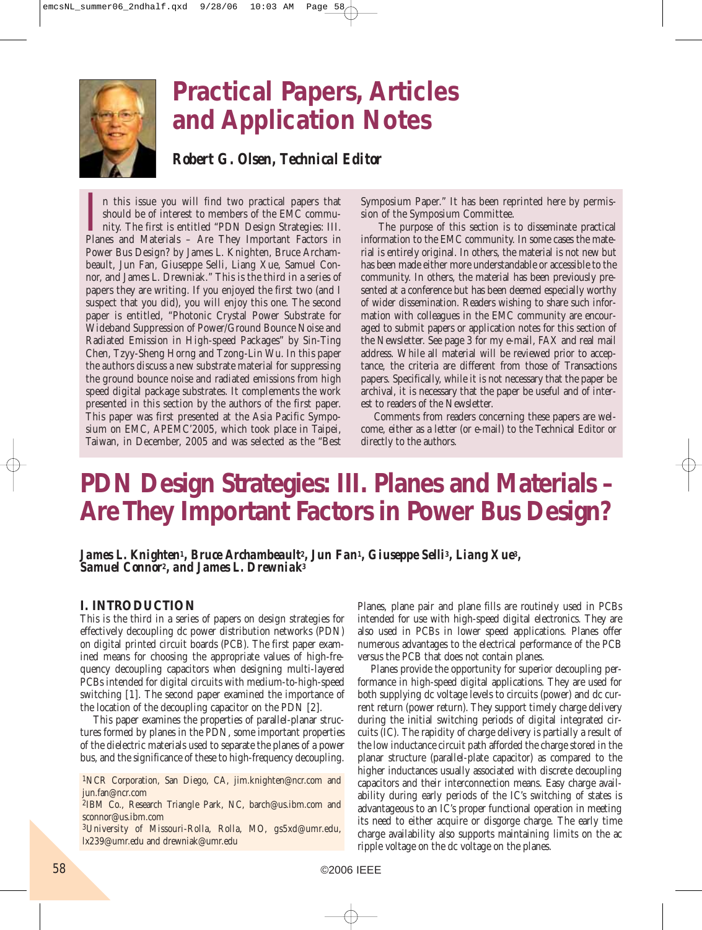

# **Practical Papers, Articles and Application Notes**

*Robert G. Olsen, Technical Editor*

In this issue you will find two practical papers that should be of interest to members of the EMC community. The first is entitled "PDN Design Strategies: III. Planes and Materials – Are They Important Factors in n this issue you will find two practical papers that should be of interest to members of the EMC community. The first is entitled "PDN Design Strategies: III. Power Bus Design? by James L. Knighten, Bruce Archambeault, Jun Fan, Giuseppe Selli, Liang Xue, Samuel Connor, and James L. Drewniak." This is the third in a series of papers they are writing. If you enjoyed the first two (and I suspect that you did), you will enjoy this one. The second paper is entitled, "Photonic Crystal Power Substrate for Wideband Suppression of Power/Ground Bounce Noise and Radiated Emission in High-speed Packages" by Sin-Ting Chen, Tzyy-Sheng Horng and Tzong-Lin Wu. In this paper the authors discuss a new substrate material for suppressing the ground bounce noise and radiated emissions from high speed digital package substrates. It complements the work presented in this section by the authors of the first paper. This paper was first presented at the Asia Pacific Symposium on EMC, APEMC'2005, which took place in Taipei, Taiwan, in December, 2005 and was selected as the "Best

Symposium Paper." It has been reprinted here by permission of the Symposium Committee.

The purpose of this section is to disseminate practical information to the EMC community. In some cases the material is entirely original. In others, the material is not new but has been made either more understandable or accessible to the community. In others, the material has been previously presented at a conference but has been deemed especially worthy of wider dissemination. Readers wishing to share such information with colleagues in the EMC community are encouraged to submit papers or application notes for this section of the Newsletter. See page 3 for my e-mail, FAX and real mail address. While all material will be reviewed prior to acceptance, the criteria are different from those of Transactions papers. Specifically, while it is not necessary that the paper be archival, it is necessary that the paper be useful and of interest to readers of the Newsletter.

Comments from readers concerning these papers are welcome, either as a letter (or e-mail) to the Technical Editor or directly to the authors.

### **PDN Design Strategies: III. Planes and Materials – Are They Important Factors in Power Bus Design?**

*James L. Knighten1, Bruce Archambeault2, Jun Fan1, Giuseppe Selli3, Liang Xue3, Samuel Connor2, and James L. Drewniak3*

### **I. INTRODUCTION**

This is the third in a series of papers on design strategies for effectively decoupling dc power distribution networks (PDN) on digital printed circuit boards (PCB). The first paper examined means for choosing the appropriate values of high-frequency decoupling capacitors when designing multi-layered PCBs intended for digital circuits with medium-to-high-speed switching [1]. The second paper examined the importance of the location of the decoupling capacitor on the PDN [2].

This paper examines the properties of parallel-planar structures formed by planes in the PDN, some important properties of the dielectric materials used to separate the planes of a power bus, and the significance of these to high-frequency decoupling.

1NCR Corporation, San Diego, CA, jim.knighten@ncr.com and jun.fan@ncr.com

2IBM Co., Research Triangle Park, NC, barch@us.ibm.com and sconnor@us.ibm.com

3University of Missouri-Rolla, Rolla, MO, gs5xd@umr.edu, lx239@umr.edu and drewniak@umr.edu

Planes, plane pair and plane fills are routinely used in PCBs intended for use with high-speed digital electronics. They are also used in PCBs in lower speed applications. Planes offer numerous advantages to the electrical performance of the PCB versus the PCB that does not contain planes.

Planes provide the opportunity for superior decoupling performance in high-speed digital applications. They are used for both supplying dc voltage levels to circuits (power) and dc current return (power return). They support timely charge delivery during the initial switching periods of digital integrated circuits (IC). The rapidity of charge delivery is partially a result of the low inductance circuit path afforded the charge stored in the planar structure (parallel-plate capacitor) as compared to the higher inductances usually associated with discrete decoupling capacitors and their interconnection means. Easy charge availability during early periods of the IC's switching of states is advantageous to an IC's proper functional operation in meeting its need to either acquire or disgorge charge. The early time charge availability also supports maintaining limits on the ac ripple voltage on the dc voltage on the planes.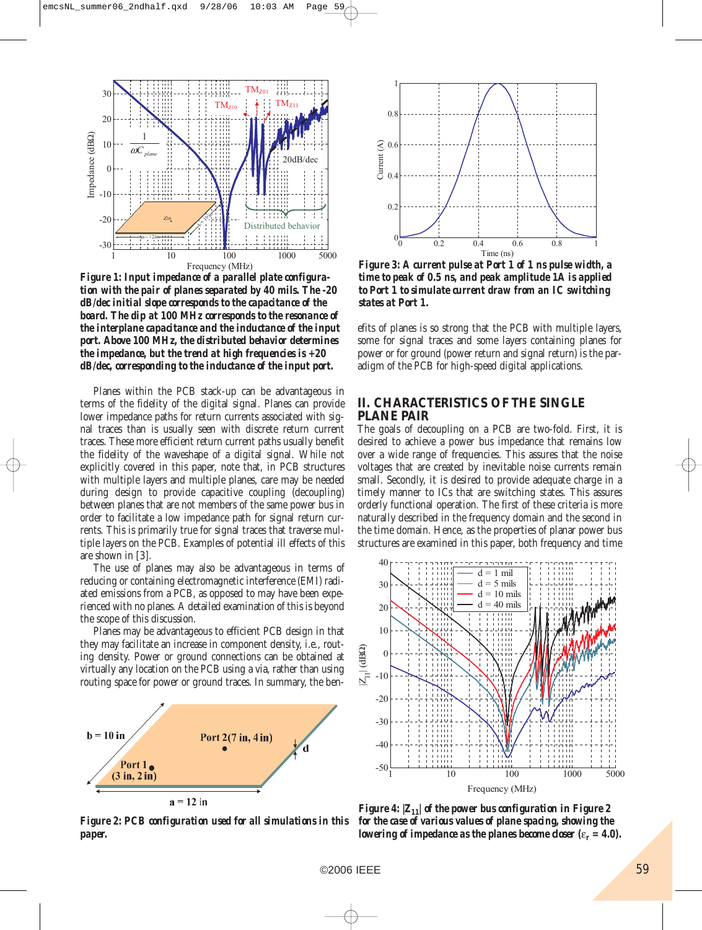

*Figure 1: Input impedance of a parallel plate configuration with the pair of planes separated by 40 mils. The -20 dB/dec initial slope corresponds to the capacitance of the board. The dip at 100 MHz corresponds to the resonance of the interplane capacitance and the inductance of the input port. Above 100 MHz, the distributed behavior determines the impedance, but the trend at high frequencies is +20 dB/dec, corresponding to the inductance of the input port.*

Planes within the PCB stack-up can be advantageous in terms of the fidelity of the digital signal. Planes can provide lower impedance paths for return currents associated with signal traces than is usually seen with discrete return current traces. These more efficient return current paths usually benefit the fidelity of the waveshape of a digital signal. While not explicitly covered in this paper, note that, in PCB structures with multiple layers and multiple planes, care may be needed during design to provide capacitive coupling (decoupling) between planes that are not members of the same power bus in order to facilitate a low impedance path for signal return currents. This is primarily true for signal traces that traverse multiple layers on the PCB. Examples of potential ill effects of this are shown in [3].

The use of planes may also be advantageous in terms of reducing or containing electromagnetic interference (EMI) radiated emissions from a PCB, as opposed to may have been experienced with no planes. A detailed examination of this is beyond the scope of this discussion.

Planes may be advantageous to efficient PCB design in that they may facilitate an increase in component density, i.e., routing density. Power or ground connections can be obtained at virtually any location on the PCB using a via, rather than using routing space for power or ground traces. In summary, the ben-



*Figure 2: PCB configuration used for all simulations in this paper.* 



*Figure 3: A current pulse at Port 1 of 1 ns pulse width, a time to peak of 0.5 ns, and peak amplitude 1A is applied to Port 1 to simulate current draw from an IC switching states at Port 1.*

efits of planes is so strong that the PCB with multiple layers, some for signal traces and some layers containing planes for power or for ground (power return and signal return) is the paradigm of the PCB for high-speed digital applications.

### **II. CHARACTERISTICS OF THE SINGLE PLANE PAIR**

The goals of decoupling on a PCB are two-fold. First, it is desired to achieve a power bus impedance that remains low over a wide range of frequencies. This assures that the noise voltages that are created by inevitable noise currents remain small. Secondly, it is desired to provide adequate charge in a timely manner to ICs that are switching states. This assures orderly functional operation. The first of these criteria is more naturally described in the frequency domain and the second in the time domain. Hence, as the properties of planar power bus structures are examined in this paper, both frequency and time



*Figure 4:*  $|Z_{11}|$  of the power bus configuration in Figure 2 *for the case of various values of plane spacing, showing the lowering of impedance as the planes become closer (ε<sub>r</sub> = 4.0).*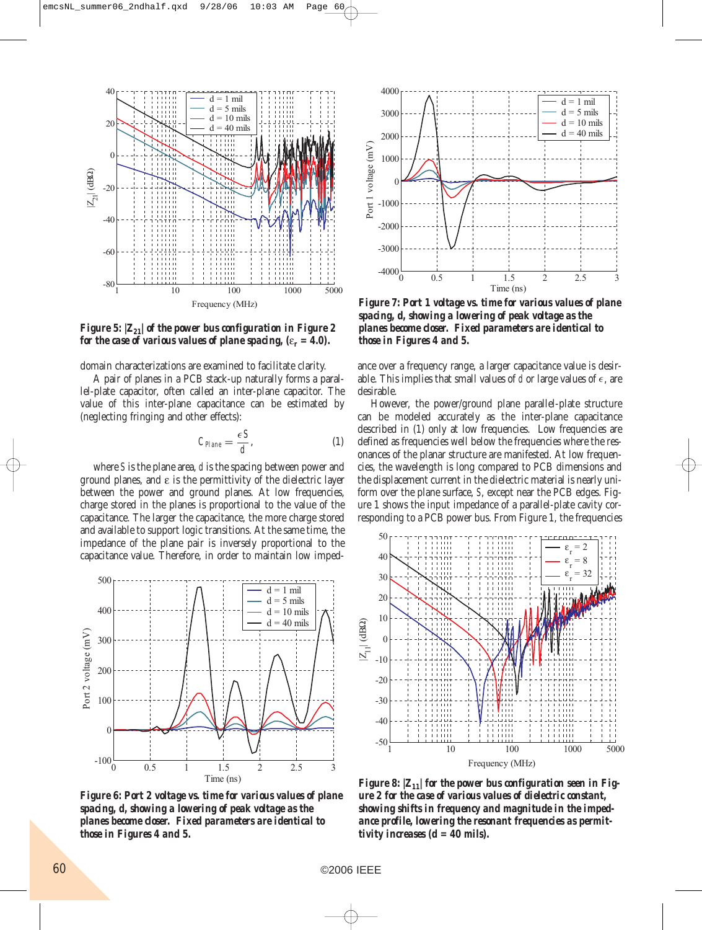

*Figure 5:*  $|Z_{21}|$  of the power bus configuration in Figure 2 *for the case of various values of plane spacing,*  $(\varepsilon_r = 4.0)$ *.* 

domain characterizations are examined to facilitate clarity.

A pair of planes in a PCB stack-up naturally forms a parallel-plate capacitor, often called an inter-plane capacitor. The value of this inter-plane capacitance can be estimated by (neglecting fringing and other effects):

$$
C_{Hane} = \frac{\epsilon S}{d},\tag{1}
$$

where *S* is the plane area, *d* is the spacing between power and ground planes, and ε is the permittivity of the dielectric layer between the power and ground planes. At low frequencies, charge stored in the planes is proportional to the value of the capacitance. The larger the capacitance, the more charge stored and available to support logic transitions. At the same time, the impedance of the plane pair is inversely proportional to the capacitance value. Therefore, in order to maintain low imped-



*Figure 6: Port 2 voltage vs. time for various values of plane spacing, d, showing a lowering of peak voltage as the planes become closer. Fixed parameters are identical to those in Figures 4 and 5.*



*Figure 7: Port 1 voltage vs. time for various values of plane spacing, d, showing a lowering of peak voltage as the planes become closer. Fixed parameters are identical to those in Figures 4 and 5.*

ance over a frequency range, a larger capacitance value is desirable. This implies that small values of  $d$  or large values of  $\epsilon$ , are desirable.

However, the power/ground plane parallel-plate structure can be modeled accurately as the inter-plane capacitance described in (1) only at low frequencies. Low frequencies are defined as frequencies well below the frequencies where the resonances of the planar structure are manifested. At low frequencies, the wavelength is long compared to PCB dimensions and the displacement current in the dielectric material is nearly uniform over the plane surface, *S*, except near the PCB edges. Figure 1 shows the input impedance of a parallel-plate cavity corresponding to a PCB power bus. From Figure 1, the frequencies



*Figure 8:*  $|Z_{11}|$  for the power bus configuration seen in Fig*ure 2 for the case of various values of dielectric constant, showing shifts in frequency and magnitude in the impedance profile, lowering the resonant frequencies as permittivity increases (d = 40 mils).*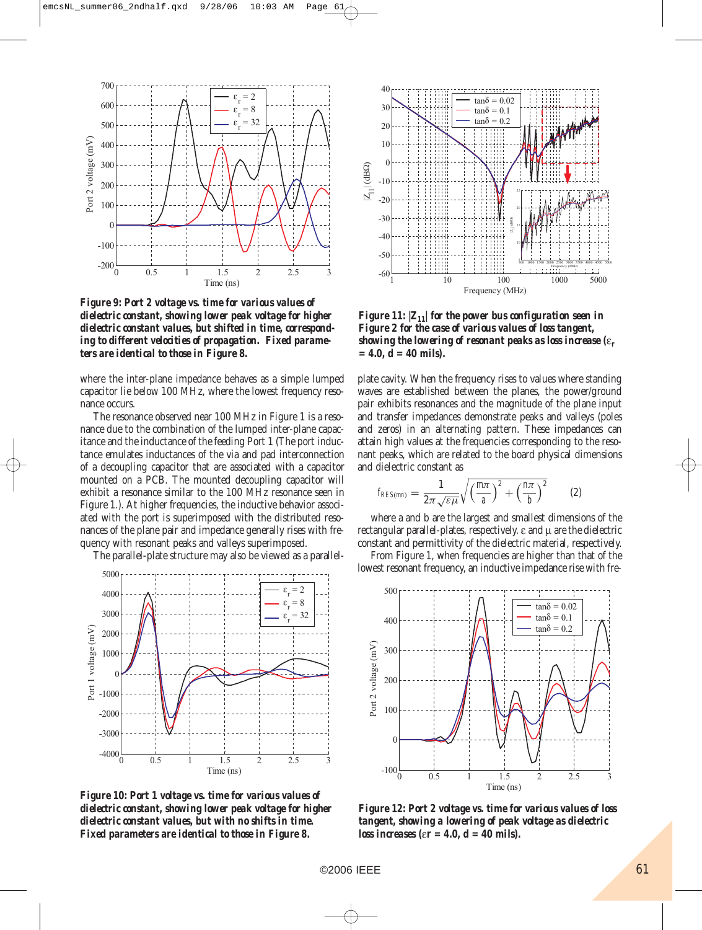

*Figure 9: Port 2 voltage vs. time for various values of dielectric constant, showing lower peak voltage for higher dielectric constant values, but shifted in time, corresponding to different velocities of propagation. Fixed parameters are identical to those in Figure 8.*

where the inter-plane impedance behaves as a simple lumped capacitor lie below 100 MHz, where the lowest frequency resonance occurs.

The resonance observed near 100 MHz in Figure 1 is a resonance due to the combination of the lumped inter-plane capacitance and the inductance of the feeding Port 1 (The port inductance emulates inductances of the via and pad interconnection of a decoupling capacitor that are associated with a capacitor mounted on a PCB. The mounted decoupling capacitor will exhibit a resonance similar to the 100 MHz resonance seen in Figure 1.). At higher frequencies, the inductive behavior associated with the port is superimposed with the distributed resonances of the plane pair and impedance generally rises with frequency with resonant peaks and valleys superimposed.

The parallel-plate structure may also be viewed as a parallel-



*Figure 10: Port 1 voltage vs. time for various values of dielectric constant, showing lower peak voltage for higher dielectric constant values, but with no shifts in time. Fixed parameters are identical to those in Figure 8.*



*Figure 11:*  $|Z_{11}|$  for the power bus configuration seen in *Figure 2 for the case of various values of loss tangent, showing the lowering of resonant peaks as loss increase (*ε*<sup>r</sup> = 4.0, d = 40 mils).*

plate cavity. When the frequency rises to values where standing waves are established between the planes, the power/ground pair exhibits resonances and the magnitude of the plane input and transfer impedances demonstrate peaks and valleys (poles and zeros) in an alternating pattern. These impedances can attain high values at the frequencies corresponding to the resonant peaks, which are related to the board physical dimensions and dielectric constant as

$$
f_{RES(mn)} = \frac{1}{2\pi\sqrt{\varepsilon\mu}}\sqrt{\left(\frac{m\pi}{a}\right)^2 + \left(\frac{n\pi}{b}\right)^2} \qquad (2)
$$

where a and b are the largest and smallest dimensions of the rectangular parallel-plates, respectively. ε and μ are the dielectric constant and permittivity of the dielectric material, respectively.

From Figure 1, when frequencies are higher than that of the lowest resonant frequency, an inductive impedance rise with fre-



*Figure 12: Port 2 voltage vs. time for various values of loss tangent, showing a lowering of peak voltage as dielectric loss increases (*ε*r = 4.0, d = 40 mils).*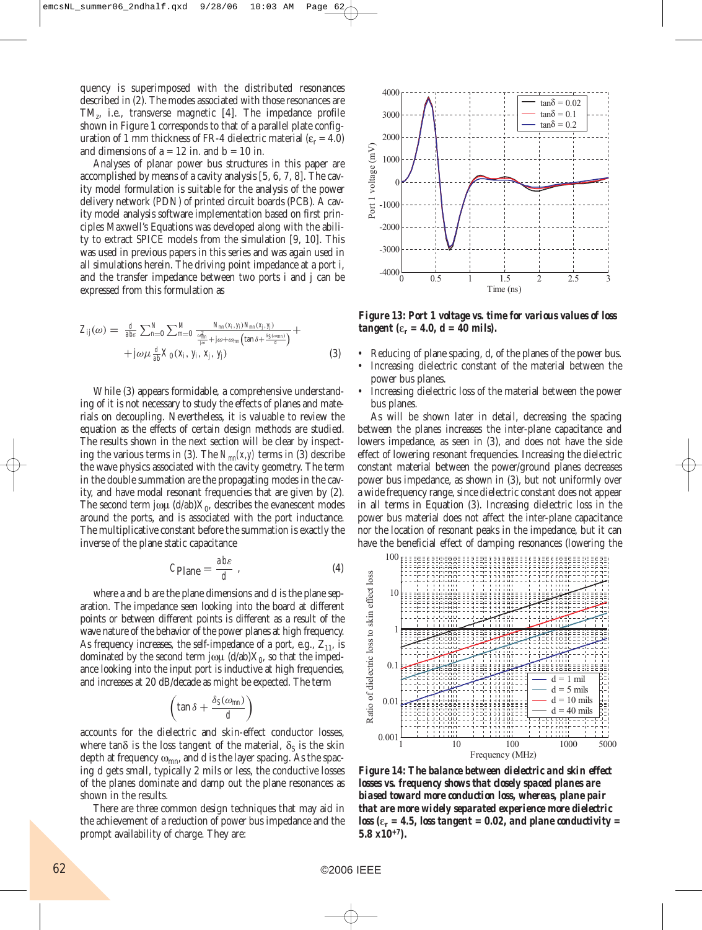quency is superimposed with the distributed resonances described in (2). The modes associated with those resonances are TMz, i.e., transverse magnetic [4]. The impedance profile shown in Figure 1 corresponds to that of a parallel plate configuration of 1 mm thickness of FR-4 dielectric material ( $\varepsilon_r = 4.0$ ) and dimensions of  $a = 12$  in. and  $b = 10$  in.

Analyses of planar power bus structures in this paper are accomplished by means of a cavity analysis [5, 6, 7, 8]. The cavity model formulation is suitable for the analysis of the power delivery network (PDN) of printed circuit boards (PCB). A cavity model analysis software implementation based on first principles Maxwell's Equations was developed along with the ability to extract SPICE models from the simulation [9, 10]. This was used in previous papers in this series and was again used in all simulations herein. The driving point impedance at a port i, and the transfer impedance between two ports i and j can be expressed from this formulation as

$$
Z_{ij}(\omega) = \frac{d}{abc} \sum_{n=0}^{N} \sum_{m=0}^{M} \frac{N_{mn}(x_i, y_i) N_{mn}(x_j, y_j)}{\frac{\omega_{mn}^2}{j\omega} + j\omega + \omega_{mn} \left(\tan \delta + \frac{\delta S(\omega_{mn})}{d}\right)} + \\ + j\omega\mu \frac{d}{ab} X_0(x_i, y_i, x_j, y_j)
$$
(3)

While (3) appears formidable, a comprehensive understanding of it is not necessary to study the effects of planes and materials on decoupling. Nevertheless, it is valuable to review the equation as the effects of certain design methods are studied. The results shown in the next section will be clear by inspecting the various terms in (3). The  $N_{mn}(x, y)$  terms in (3) describe the wave physics associated with the cavity geometry. The term in the double summation are the propagating modes in the cavity, and have modal resonant frequencies that are given by (2). The second term jωμ  $(d/ab)X_0$ , describes the evanescent modes around the ports, and is associated with the port inductance. The multiplicative constant before the summation is exactly the inverse of the plane static capacitance

$$
C_{\text{Plane}} = \frac{abc}{d} \tag{4}
$$

where a and b are the plane dimensions and d is the plane separation. The impedance seen looking into the board at different points or between different points is different as a result of the wave nature of the behavior of the power planes at high frequency. As frequency increases, the self-impedance of a port, e.g.,  $Z_{11}$ , is dominated by the second term jωμ  $(d/ab)X_0$ , so that the impedance looking into the input port is inductive at high frequencies, and increases at 20 dB/decade as might be expected. The term

$$
\left(\tan\delta + \frac{\delta_S(\omega_{mn})}{d}\right)
$$

accounts for the dielectric and skin-effect conductor losses, where tan $\delta$  is the loss tangent of the material,  $\delta_{\rm S}$  is the skin depth at frequency  $\omega_{mn}$ , and d is the layer spacing. As the spacing d gets small, typically 2 mils or less, the conductive losses of the planes dominate and damp out the plane resonances as shown in the results.

There are three common design techniques that may aid in the achievement of a reduction of power bus impedance and the prompt availability of charge. They are:



*Figure 13: Port 1 voltage vs. time for various values of loss tangent* ( $\varepsilon_r = 4.0$ ,  $d = 40$  mils).

- Reducing of plane spacing, d, of the planes of the power bus.
- Increasing dielectric constant of the material between the power bus planes.
- Increasing dielectric loss of the material between the power bus planes.

As will be shown later in detail, decreasing the spacing between the planes increases the inter-plane capacitance and lowers impedance, as seen in (3), and does not have the side effect of lowering resonant frequencies. Increasing the dielectric constant material between the power/ground planes decreases power bus impedance, as shown in (3), but not uniformly over a wide frequency range, since dielectric constant does not appear in all terms in Equation (3). Increasing dielectric loss in the power bus material does not affect the inter-plane capacitance nor the location of resonant peaks in the impedance, but it can have the beneficial effect of damping resonances (lowering the



*Figure 14: The balance between dielectric and skin effect losses vs. frequency shows that closely spaced planes are biased toward more conduction loss, whereas, plane pair that are more widely separated experience more dielectric loss* ( $\varepsilon_r$  = 4.5, loss tangent = 0.02, and plane conductivity = *5.8 x10+7).*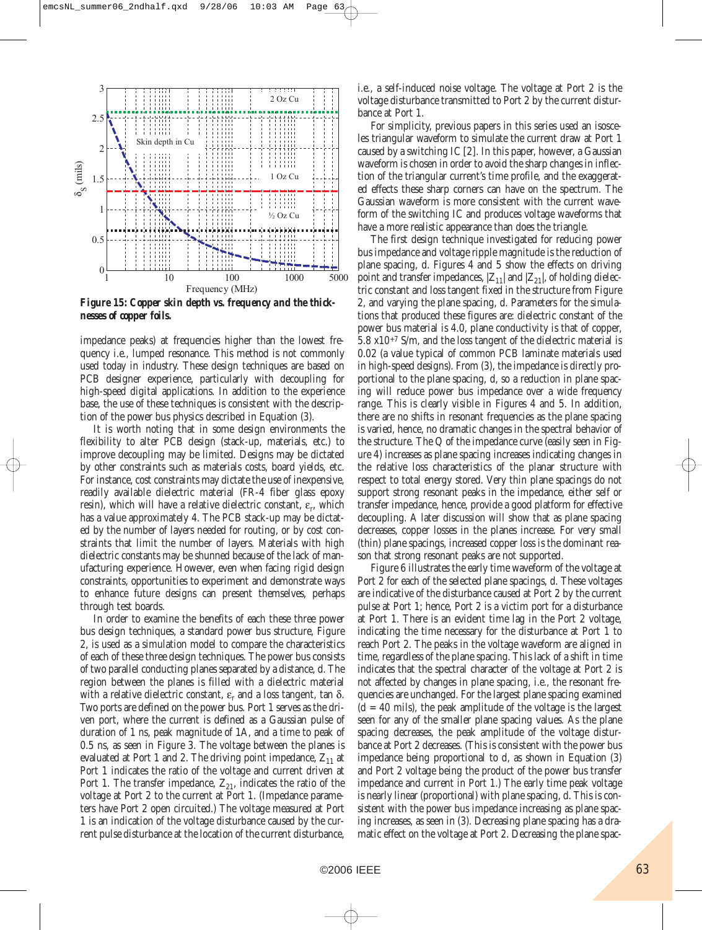

*Figure 15: Copper skin depth vs. frequency and the thicknesses of copper foils.*

impedance peaks) at frequencies higher than the lowest frequency i.e., lumped resonance. This method is not commonly used today in industry. These design techniques are based on PCB designer experience, particularly with decoupling for high-speed digital applications. In addition to the experience base, the use of these techniques is consistent with the description of the power bus physics described in Equation (3).

It is worth noting that in some design environments the flexibility to alter PCB design (stack-up, materials, etc.) to improve decoupling may be limited. Designs may be dictated by other constraints such as materials costs, board yields, etc. For instance, cost constraints may dictate the use of inexpensive, readily available dielectric material (FR-4 fiber glass epoxy resin), which will have a relative dielectric constant,  $\varepsilon_{\text{r}}$ , which has a value approximately 4. The PCB stack-up may be dictated by the number of layers needed for routing, or by cost constraints that limit the number of layers. Materials with high dielectric constants may be shunned because of the lack of manufacturing experience. However, even when facing rigid design constraints, opportunities to experiment and demonstrate ways to enhance future designs can present themselves, perhaps through test boards.

In order to examine the benefits of each these three power bus design techniques, a standard power bus structure, Figure 2, is used as a simulation model to compare the characteristics of each of these three design techniques. The power bus consists of two parallel conducting planes separated by a distance, d. The region between the planes is filled with a dielectric material with a relative dielectric constant,  $\varepsilon_r$  and a loss tangent, tan  $\delta$ . Two ports are defined on the power bus. Port 1 serves as the driven port, where the current is defined as a Gaussian pulse of duration of 1 ns, peak magnitude of 1A, and a time to peak of 0.5 ns, as seen in Figure 3. The voltage between the planes is evaluated at Port 1 and 2. The driving point impedance,  $Z_{11}$  at Port 1 indicates the ratio of the voltage and current driven at Port 1. The transfer impedance,  $Z_{21}$ , indicates the ratio of the voltage at Port 2 to the current at Port 1. (Impedance parameters have Port 2 open circuited.) The voltage measured at Port 1 is an indication of the voltage disturbance caused by the current pulse disturbance at the location of the current disturbance,

i.e., a self-induced noise voltage. The voltage at Port 2 is the voltage disturbance transmitted to Port 2 by the current disturbance at Port 1.

For simplicity, previous papers in this series used an isosceles triangular waveform to simulate the current draw at Port 1 caused by a switching IC [2]. In this paper, however, a Gaussian waveform is chosen in order to avoid the sharp changes in inflection of the triangular current's time profile, and the exaggerated effects these sharp corners can have on the spectrum. The Gaussian waveform is more consistent with the current waveform of the switching IC and produces voltage waveforms that have a more realistic appearance than does the triangle.

The first design technique investigated for reducing power bus impedance and voltage ripple magnitude is the reduction of plane spacing, d. Figures 4 and 5 show the effects on driving point and transfer impedances,  $|Z_{11}|$  and  $|Z_{21}|$ , of holding dielectric constant and loss tangent fixed in the structure from Figure 2, and varying the plane spacing, d. Parameters for the simulations that produced these figures are: dielectric constant of the power bus material is 4.0, plane conductivity is that of copper, 5.8 x10+7 S/m, and the loss tangent of the dielectric material is 0.02 (a value typical of common PCB laminate materials used in high-speed designs). From (3), the impedance is directly proportional to the plane spacing, d, so a reduction in plane spacing will reduce power bus impedance over a wide frequency range. This is clearly visible in Figures 4 and 5. In addition, there are no shifts in resonant frequencies as the plane spacing is varied, hence, no dramatic changes in the spectral behavior of the structure. The Q of the impedance curve (easily seen in Figure 4) increases as plane spacing increases indicating changes in the relative loss characteristics of the planar structure with respect to total energy stored. Very thin plane spacings do not support strong resonant peaks in the impedance, either self or transfer impedance, hence, provide a good platform for effective decoupling. A later discussion will show that as plane spacing decreases, copper losses in the planes increase. For very small (thin) plane spacings, increased copper loss is the dominant reason that strong resonant peaks are not supported.

Figure 6 illustrates the early time waveform of the voltage at Port 2 for each of the selected plane spacings, d. These voltages are indicative of the disturbance caused at Port 2 by the current pulse at Port 1; hence, Port 2 is a victim port for a disturbance at Port 1. There is an evident time lag in the Port 2 voltage, indicating the time necessary for the disturbance at Port 1 to reach Port 2. The peaks in the voltage waveform are aligned in time, regardless of the plane spacing. This lack of a shift in time indicates that the spectral character of the voltage at Port 2 is not affected by changes in plane spacing, i.e., the resonant frequencies are unchanged. For the largest plane spacing examined  $(d = 40$  mils), the peak amplitude of the voltage is the largest seen for any of the smaller plane spacing values. As the plane spacing decreases, the peak amplitude of the voltage disturbance at Port 2 decreases. (This is consistent with the power bus impedance being proportional to d, as shown in Equation (3) and Port 2 voltage being the product of the power bus transfer impedance and current in Port 1.) The early time peak voltage is nearly linear (proportional) with plane spacing, d. This is consistent with the power bus impedance increasing as plane spacing increases, as seen in (3). Decreasing plane spacing has a dramatic effect on the voltage at Port 2. Decreasing the plane spac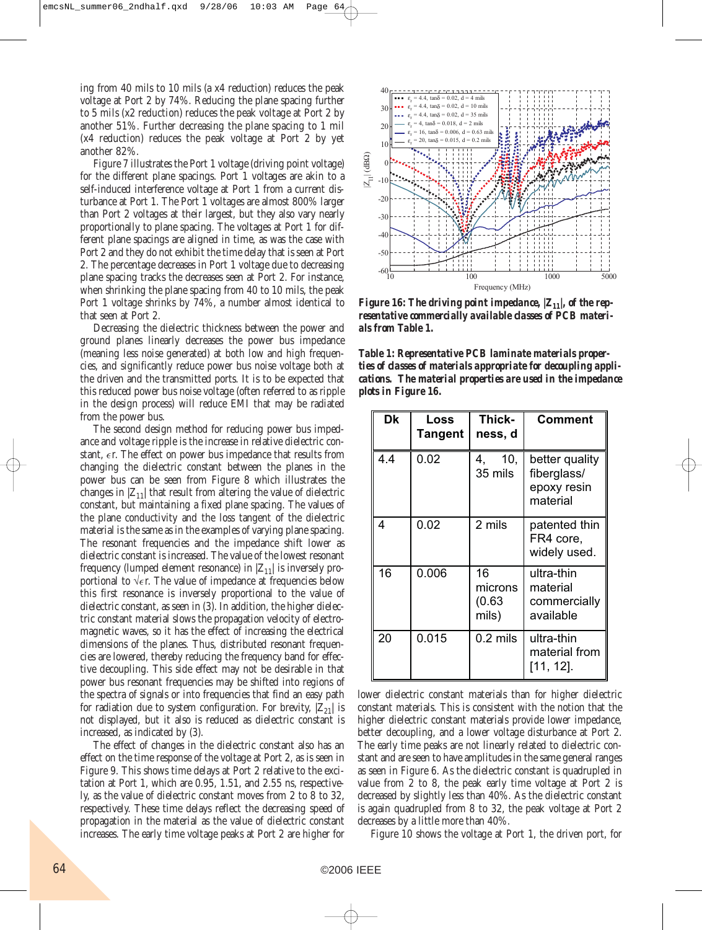ing from 40 mils to 10 mils (a x4 reduction) reduces the peak voltage at Port 2 by 74%. Reducing the plane spacing further to 5 mils (x2 reduction) reduces the peak voltage at Port 2 by another 51%. Further decreasing the plane spacing to 1 mil (x4 reduction) reduces the peak voltage at Port 2 by yet another 82%.

Figure 7 illustrates the Port 1 voltage (driving point voltage) for the different plane spacings. Port 1 voltages are akin to a self-induced interference voltage at Port 1 from a current disturbance at Port 1. The Port 1 voltages are almost 800% larger than Port 2 voltages at their largest, but they also vary nearly proportionally to plane spacing. The voltages at Port 1 for different plane spacings are aligned in time, as was the case with Port 2 and they do not exhibit the time delay that is seen at Port 2. The percentage decreases in Port 1 voltage due to decreasing plane spacing tracks the decreases seen at Port 2. For instance, when shrinking the plane spacing from 40 to 10 mils, the peak Port 1 voltage shrinks by 74%, a number almost identical to that seen at Port 2.

Decreasing the dielectric thickness between the power and ground planes linearly decreases the power bus impedance (meaning less noise generated) at both low and high frequencies, and significantly reduce power bus noise voltage both at the driven and the transmitted ports. It is to be expected that this reduced power bus noise voltage (often referred to as ripple in the design process) will reduce EMI that may be radiated from the power bus.

The second design method for reducing power bus impedance and voltage ripple is the increase in relative dielectric constant,  $\epsilon$ r. The effect on power bus impedance that results from changing the dielectric constant between the planes in the power bus can be seen from Figure 8 which illustrates the changes in  $|Z_{11}|$  that result from altering the value of dielectric constant, but maintaining a fixed plane spacing. The values of the plane conductivity and the loss tangent of the dielectric material is the same as in the examples of varying plane spacing. The resonant frequencies and the impedance shift lower as dielectric constant is increased. The value of the lowest resonant frequency (lumped element resonance) in  $|Z_{11}|$  is inversely proportional to √ $\epsilon$ r. The value of impedance at frequencies below this first resonance is inversely proportional to the value of dielectric constant, as seen in (3). In addition, the higher dielectric constant material slows the propagation velocity of electromagnetic waves, so it has the effect of increasing the electrical dimensions of the planes. Thus, distributed resonant frequencies are lowered, thereby reducing the frequency band for effective decoupling. This side effect may not be desirable in that power bus resonant frequencies may be shifted into regions of the spectra of signals or into frequencies that find an easy path for radiation due to system configuration. For brevity,  $|Z_{21}|$  is not displayed, but it also is reduced as dielectric constant is increased, as indicated by (3).

The effect of changes in the dielectric constant also has an effect on the time response of the voltage at Port 2, as is seen in Figure 9. This shows time delays at Port 2 relative to the excitation at Port 1, which are 0.95, 1.51, and 2.55 ns, respectively, as the value of dielectric constant moves from 2 to 8 to 32, respectively. These time delays reflect the decreasing speed of propagation in the material as the value of dielectric constant increases. The early time voltage peaks at Port 2 are higher for



*Figure 16: The driving point impedance,*  $|Z_{11}|$ *, of the representative commercially available classes of PCB materials from Table 1.*

*Table 1: Representative PCB laminate materials properties of classes of materials appropriate for decoupling applications. The material properties are used in the impedance plots in Figure 16.*

| Dk  | Loss<br>Tangent | Thick-<br>ness, d                | <b>Comment</b>                                           |
|-----|-----------------|----------------------------------|----------------------------------------------------------|
| 4.4 | 0.02            | 10,<br>4.<br>35 mils             | better quality<br>fiberglass/<br>epoxy resin<br>material |
| 4   | 0.02            | 2 mils                           | patented thin<br>FR4 core,<br>widely used.               |
| 16  | 0.006           | 16<br>microns<br>(0.63)<br>mils) | ultra-thin<br>material<br>commercially<br>available      |
| 20  | 0.015           | $0.2$ mils                       | ultra-thin<br>material from<br>[11, 12].                 |

lower dielectric constant materials than for higher dielectric constant materials. This is consistent with the notion that the higher dielectric constant materials provide lower impedance, better decoupling, and a lower voltage disturbance at Port 2. The early time peaks are not linearly related to dielectric constant and are seen to have amplitudes in the same general ranges as seen in Figure 6. As the dielectric constant is quadrupled in value from 2 to 8, the peak early time voltage at Port 2 is decreased by slightly less than 40%. As the dielectric constant is again quadrupled from 8 to 32, the peak voltage at Port 2 decreases by a little more than 40%.

Figure 10 shows the voltage at Port 1, the driven port, for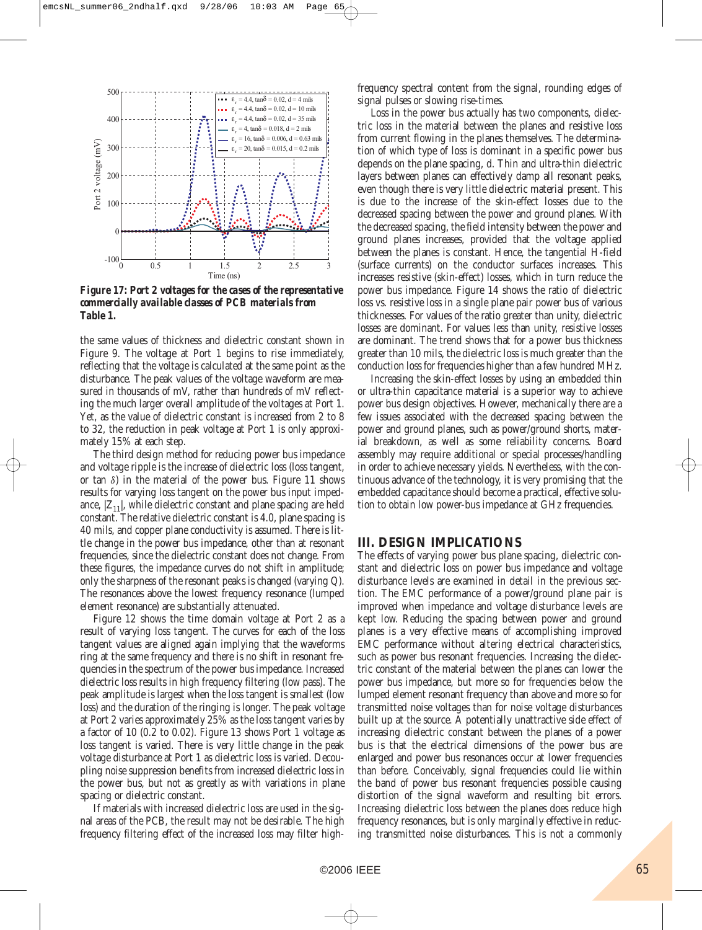

*Figure 17: Port 2 voltages for the cases of the representative commercially available classes of PCB materials from Table 1.*

the same values of thickness and dielectric constant shown in Figure 9. The voltage at Port 1 begins to rise immediately, reflecting that the voltage is calculated at the same point as the disturbance. The peak values of the voltage waveform are measured in thousands of mV, rather than hundreds of mV reflecting the much larger overall amplitude of the voltages at Port 1. Yet, as the value of dielectric constant is increased from 2 to 8 to 32, the reduction in peak voltage at Port 1 is only approximately 15% at each step.

The third design method for reducing power bus impedance and voltage ripple is the increase of dielectric loss (loss tangent, or tan  $\delta$ ) in the material of the power bus. Figure 11 shows results for varying loss tangent on the power bus input impedance,  $|Z_{11}|$ , while dielectric constant and plane spacing are held constant. The relative dielectric constant is 4.0, plane spacing is 40 mils, and copper plane conductivity is assumed. There is little change in the power bus impedance, other than at resonant frequencies, since the dielectric constant does not change. From these figures, the impedance curves do not shift in amplitude; only the sharpness of the resonant peaks is changed (varying Q). The resonances above the lowest frequency resonance (lumped element resonance) are substantially attenuated.

Figure 12 shows the time domain voltage at Port 2 as a result of varying loss tangent. The curves for each of the loss tangent values are aligned again implying that the waveforms ring at the same frequency and there is no shift in resonant frequencies in the spectrum of the power bus impedance. Increased dielectric loss results in high frequency filtering (low pass). The peak amplitude is largest when the loss tangent is smallest (low loss) and the duration of the ringing is longer. The peak voltage at Port 2 varies approximately 25% as the loss tangent varies by a factor of 10 (0.2 to 0.02). Figure 13 shows Port 1 voltage as loss tangent is varied. There is very little change in the peak voltage disturbance at Port 1 as dielectric loss is varied. Decoupling noise suppression benefits from increased dielectric loss in the power bus, but not as greatly as with variations in plane spacing or dielectric constant.

If materials with increased dielectric loss are used in the signal areas of the PCB, the result may not be desirable. The high frequency filtering effect of the increased loss may filter highfrequency spectral content from the signal, rounding edges of signal pulses or slowing rise-times.

Loss in the power bus actually has two components, dielectric loss in the material between the planes and resistive loss from current flowing in the planes themselves. The determination of which type of loss is dominant in a specific power bus depends on the plane spacing, d. Thin and ultra-thin dielectric layers between planes can effectively damp all resonant peaks, even though there is very little dielectric material present. This is due to the increase of the skin-effect losses due to the decreased spacing between the power and ground planes. With the decreased spacing, the field intensity between the power and ground planes increases, provided that the voltage applied between the planes is constant. Hence, the tangential H-field (surface currents) on the conductor surfaces increases. This increases resistive (skin-effect) losses, which in turn reduce the power bus impedance. Figure 14 shows the ratio of dielectric loss vs. resistive loss in a single plane pair power bus of various thicknesses. For values of the ratio greater than unity, dielectric losses are dominant. For values less than unity, resistive losses are dominant. The trend shows that for a power bus thickness greater than 10 mils, the dielectric loss is much greater than the conduction loss for frequencies higher than a few hundred MHz.

Increasing the skin-effect losses by using an embedded thin or ultra-thin capacitance material is a superior way to achieve power bus design objectives. However, mechanically there are a few issues associated with the decreased spacing between the power and ground planes, such as power/ground shorts, material breakdown, as well as some reliability concerns. Board assembly may require additional or special processes/handling in order to achieve necessary yields. Nevertheless, with the continuous advance of the technology, it is very promising that the embedded capacitance should become a practical, effective solution to obtain low power-bus impedance at GHz frequencies.

#### **III. DESIGN IMPLICATIONS**

The effects of varying power bus plane spacing, dielectric constant and dielectric loss on power bus impedance and voltage disturbance levels are examined in detail in the previous section. The EMC performance of a power/ground plane pair is improved when impedance and voltage disturbance levels are kept low. Reducing the spacing between power and ground planes is a very effective means of accomplishing improved EMC performance without altering electrical characteristics, such as power bus resonant frequencies. Increasing the dielectric constant of the material between the planes can lower the power bus impedance, but more so for frequencies below the lumped element resonant frequency than above and more so for transmitted noise voltages than for noise voltage disturbances built up at the source. A potentially unattractive side effect of increasing dielectric constant between the planes of a power bus is that the electrical dimensions of the power bus are enlarged and power bus resonances occur at lower frequencies than before. Conceivably, signal frequencies could lie within the band of power bus resonant frequencies possible causing distortion of the signal waveform and resulting bit errors. Increasing dielectric loss between the planes does reduce high frequency resonances, but is only marginally effective in reducing transmitted noise disturbances. This is not a commonly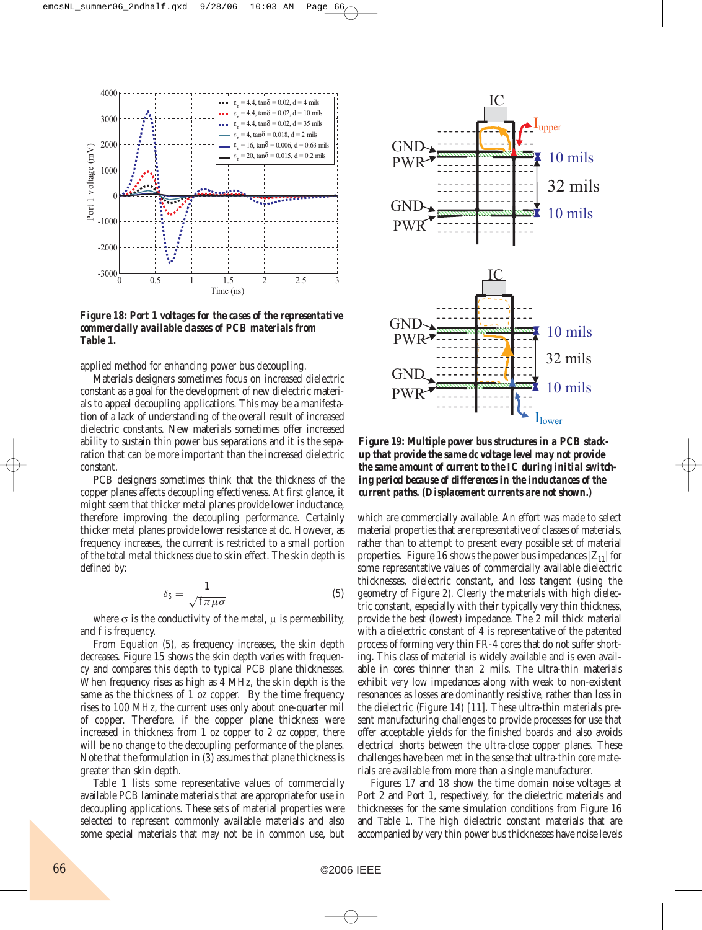

*Figure 18: Port 1 voltages for the cases of the representative commercially available classes of PCB materials from Table 1.*

applied method for enhancing power bus decoupling.

Materials designers sometimes focus on increased dielectric constant as a goal for the development of new dielectric materials to appeal decoupling applications. This may be a manifestation of a lack of understanding of the overall result of increased dielectric constants. New materials sometimes offer increased ability to sustain thin power bus separations and it is the separation that can be more important than the increased dielectric constant.

PCB designers sometimes think that the thickness of the copper planes affects decoupling effectiveness. At first glance, it might seem that thicker metal planes provide lower inductance, therefore improving the decoupling performance. Certainly thicker metal planes provide lower resistance at dc. However, as frequency increases, the current is restricted to a small portion of the total metal thickness due to skin effect. The skin depth is defined by:

$$
\delta_S = \frac{1}{\sqrt{f\pi\mu\sigma}}\tag{5}
$$

where  $\sigma$  is the conductivity of the metal,  $\mu$  is permeability, and f is frequency.

From Equation (5), as frequency increases, the skin depth decreases. Figure 15 shows the skin depth varies with frequency and compares this depth to typical PCB plane thicknesses. When frequency rises as high as 4 MHz, the skin depth is the same as the thickness of 1 oz copper. By the time frequency rises to 100 MHz, the current uses only about one-quarter mil of copper. Therefore, if the copper plane thickness were increased in thickness from 1 oz copper to 2 oz copper, there will be no change to the decoupling performance of the planes. Note that the formulation in (3) assumes that plane thickness is greater than skin depth.

Table 1 lists some representative values of commercially available PCB laminate materials that are appropriate for use in decoupling applications. These sets of material properties were selected to represent commonly available materials and also some special materials that may not be in common use, but



*Figure 19: Multiple power bus structures in a PCB stackup that provide the same dc voltage level may not provide the same amount of current to the IC during initial switching period because of differences in the inductances of the current paths. (Displacement currents are not shown.)*

which are commercially available. An effort was made to select material properties that are representative of classes of materials, rather than to attempt to present every possible set of material properties. Figure 16 shows the power bus impedances  $|Z_{11}|$  for some representative values of commercially available dielectric thicknesses, dielectric constant, and loss tangent (using the geometry of Figure 2). Clearly the materials with high dielectric constant, especially with their typically very thin thickness, provide the best (lowest) impedance. The 2 mil thick material with a dielectric constant of 4 is representative of the patented process of forming very thin FR-4 cores that do not suffer shorting. This class of material is widely available and is even available in cores thinner than 2 mils. The ultra-thin materials exhibit very low impedances along with weak to non-existent resonances as losses are dominantly resistive, rather than loss in the dielectric (Figure 14) [11]. These ultra-thin materials present manufacturing challenges to provide processes for use that offer acceptable yields for the finished boards and also avoids electrical shorts between the ultra-close copper planes. These challenges have been met in the sense that ultra-thin core materials are available from more than a single manufacturer.

Figures 17 and 18 show the time domain noise voltages at Port 2 and Port 1, respectively, for the dielectric materials and thicknesses for the same simulation conditions from Figure 16 and Table 1. The high dielectric constant materials that are accompanied by very thin power bus thicknesses have noise levels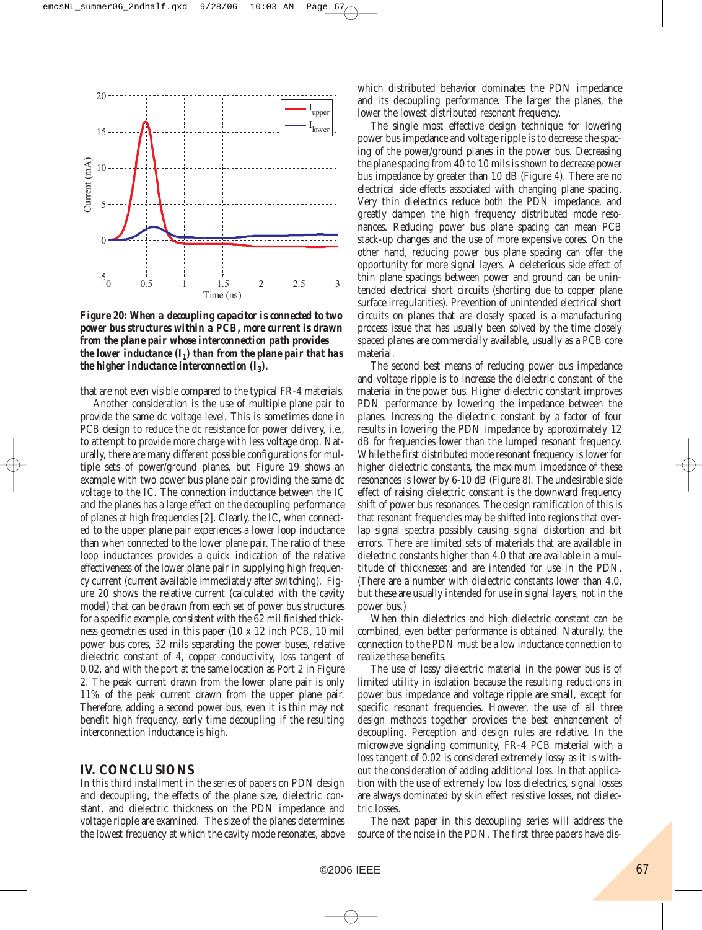

*Figure 20: When a decoupling capacitor is connected to two power bus structures within a PCB, more current is drawn from the plane pair whose interconnection path provides the lower inductance*  $(I_1)$  *than from the plane pair that has the higher inductance interconnection*  $(I_3)$ *.* 

that are not even visible compared to the typical FR-4 materials.

Another consideration is the use of multiple plane pair to provide the same dc voltage level. This is sometimes done in PCB design to reduce the dc resistance for power delivery, i.e., to attempt to provide more charge with less voltage drop. Naturally, there are many different possible configurations for multiple sets of power/ground planes, but Figure 19 shows an example with two power bus plane pair providing the same dc voltage to the IC. The connection inductance between the IC and the planes has a large effect on the decoupling performance of planes at high frequencies [2]. Clearly, the IC, when connected to the upper plane pair experiences a lower loop inductance than when connected to the lower plane pair. The ratio of these loop inductances provides a quick indication of the relative effectiveness of the lower plane pair in supplying high frequency current (current available immediately after switching). Figure 20 shows the relative current (calculated with the cavity model) that can be drawn from each set of power bus structures for a specific example, consistent with the 62 mil finished thickness geometries used in this paper (10 x 12 inch PCB, 10 mil power bus cores, 32 mils separating the power buses, relative dielectric constant of 4, copper conductivity, loss tangent of 0.02, and with the port at the same location as Port 2 in Figure 2. The peak current drawn from the lower plane pair is only 11% of the peak current drawn from the upper plane pair. Therefore, adding a second power bus, even it is thin may not benefit high frequency, early time decoupling if the resulting interconnection inductance is high.

### **IV. CONCLUSIONS**

In this third installment in the series of papers on PDN design and decoupling, the effects of the plane size, dielectric constant, and dielectric thickness on the PDN impedance and voltage ripple are examined. The size of the planes determines the lowest frequency at which the cavity mode resonates, above which distributed behavior dominates the PDN impedance and its decoupling performance. The larger the planes, the lower the lowest distributed resonant frequency.

The single most effective design technique for lowering power bus impedance and voltage ripple is to decrease the spacing of the power/ground planes in the power bus. Decreasing the plane spacing from 40 to 10 mils is shown to decrease power bus impedance by greater than 10 dB (Figure 4). There are no electrical side effects associated with changing plane spacing. Very thin dielectrics reduce both the PDN impedance, and greatly dampen the high frequency distributed mode resonances. Reducing power bus plane spacing can mean PCB stack-up changes and the use of more expensive cores. On the other hand, reducing power bus plane spacing can offer the opportunity for more signal layers. A deleterious side effect of thin plane spacings between power and ground can be unintended electrical short circuits (shorting due to copper plane surface irregularities). Prevention of unintended electrical short circuits on planes that are closely spaced is a manufacturing process issue that has usually been solved by the time closely spaced planes are commercially available, usually as a PCB core material.

The second best means of reducing power bus impedance and voltage ripple is to increase the dielectric constant of the material in the power bus. Higher dielectric constant improves PDN performance by lowering the impedance between the planes. Increasing the dielectric constant by a factor of four results in lowering the PDN impedance by approximately 12 dB for frequencies lower than the lumped resonant frequency. While the first distributed mode resonant frequency is lower for higher dielectric constants, the maximum impedance of these resonances is lower by 6-10 dB (Figure 8). The undesirable side effect of raising dielectric constant is the downward frequency shift of power bus resonances. The design ramification of this is that resonant frequencies may be shifted into regions that overlap signal spectra possibly causing signal distortion and bit errors. There are limited sets of materials that are available in dielectric constants higher than 4.0 that are available in a multitude of thicknesses and are intended for use in the PDN. (There are a number with dielectric constants lower than 4.0, but these are usually intended for use in signal layers, not in the power bus.)

When thin dielectrics and high dielectric constant can be combined, even better performance is obtained. Naturally, the connection to the PDN must be a low inductance connection to realize these benefits.

The use of lossy dielectric material in the power bus is of limited utility in isolation because the resulting reductions in power bus impedance and voltage ripple are small, except for specific resonant frequencies. However, the use of all three design methods together provides the best enhancement of decoupling. Perception and design rules are relative. In the microwave signaling community, FR-4 PCB material with a loss tangent of 0.02 is considered extremely lossy as it is without the consideration of adding additional loss. In that application with the use of extremely low loss dielectrics, signal losses are always dominated by skin effect resistive losses, not dielectric losses.

The next paper in this decoupling series will address the source of the noise in the PDN. The first three papers have dis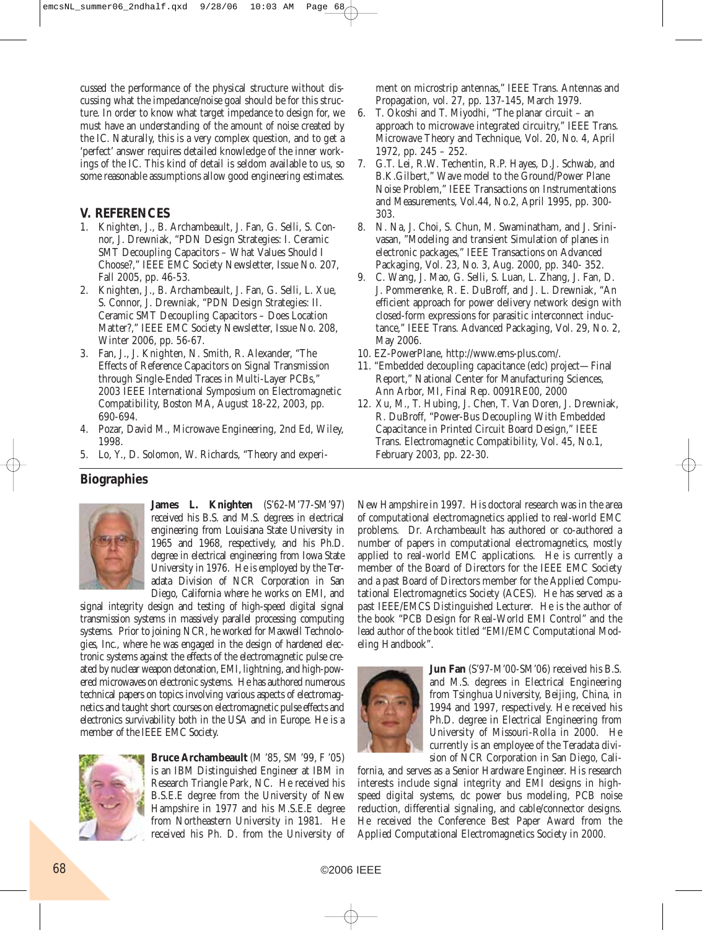cussed the performance of the physical structure without discussing what the impedance/noise goal should be for this structure. In order to know what target impedance to design for, we must have an understanding of the amount of noise created by the IC. Naturally, this is a very complex question, and to get a 'perfect' answer requires detailed knowledge of the inner workings of the IC. This kind of detail is seldom available to us, so some reasonable assumptions allow good engineering estimates.

### **V. REFERENCES**

- 1. Knighten, J., B. Archambeault, J. Fan, G. Selli, S. Connor, J. Drewniak, "PDN Design Strategies: I. Ceramic SMT Decoupling Capacitors – What Values Should I Choose?," IEEE EMC Society Newsletter, Issue No. 207, Fall 2005, pp. 46-53.
- 2. Knighten, J., B. Archambeault, J. Fan, G. Selli, L. Xue, S. Connor, J. Drewniak, "PDN Design Strategies: II. Ceramic SMT Decoupling Capacitors – Does Location Matter?," IEEE EMC Society Newsletter, Issue No. 208, Winter 2006, pp. 56-67.
- 3. Fan, J., J. Knighten, N. Smith, R. Alexander, "The Effects of Reference Capacitors on Signal Transmission through Single-Ended Traces in Multi-Layer PCBs," 2003 IEEE International Symposium on Electromagnetic Compatibility, Boston MA, August 18-22, 2003, pp. 690-694.
- 4. Pozar, David M., Microwave Engineering, 2nd Ed, Wiley, 1998.
- 5. Lo, Y., D. Solomon, W. Richards, "Theory and experi-

### **Biographies**



**James L. Knighten** (S'62-M'77-SM'97) received his B.S. and M.S. degrees in electrical engineering from Louisiana State University in 1965 and 1968, respectively, and his Ph.D. degree in electrical engineering from Iowa State University in 1976. He is employed by the Teradata Division of NCR Corporation in San Diego, California where he works on EMI, and

signal integrity design and testing of high-speed digital signal transmission systems in massively parallel processing computing systems. Prior to joining NCR, he worked for Maxwell Technologies, Inc., where he was engaged in the design of hardened electronic systems against the effects of the electromagnetic pulse created by nuclear weapon detonation, EMI, lightning, and high-powered microwaves on electronic systems. He has authored numerous technical papers on topics involving various aspects of electromagnetics and taught short courses on electromagnetic pulse effects and electronics survivability both in the USA and in Europe. He is a member of the IEEE EMC Society.



**Bruce Archambeault** (M '85, SM '99, F '05) is an IBM Distinguished Engineer at IBM in Research Triangle Park, NC. He received his B.S.E.E degree from the University of New Hampshire in 1977 and his M.S.E.E degree from Northeastern University in 1981. He received his Ph. D. from the University of ment on microstrip antennas," IEEE Trans. Antennas and Propagation, vol. 27, pp. 137-145, March 1979.

- 6. T. Okoshi and T. Miyodhi, "The planar circuit an approach to microwave integrated circuitry," IEEE Trans. Microwave Theory and Technique, Vol. 20, No. 4, April 1972, pp. 245 – 252.
- 7. G.T. Lei, R.W. Techentin, R.P. Hayes, D.J. Schwab, and B.K.Gilbert," Wave model to the Ground/Power Plane Noise Problem," IEEE Transactions on Instrumentations and Measurements, Vol.44, No.2, April 1995, pp. 300- 303.
- 8. N. Na, J. Choi, S. Chun, M. Swaminatham, and J. Srinivasan, "Modeling and transient Simulation of planes in electronic packages," IEEE Transactions on Advanced Packaging, Vol. 23, No. 3, Aug. 2000, pp. 340- 352.
- 9. C. Wang, J. Mao, G. Selli, S. Luan, L. Zhang, J. Fan, D. J. Pommerenke, R. E. DuBroff, and J. L. Drewniak, "An efficient approach for power delivery network design with closed-form expressions for parasitic interconnect inductance," IEEE Trans. Advanced Packaging, Vol. 29, No. 2, May 2006.
- 10. EZ-PowerPlane, http://www.ems-plus.com/.
- 11. "Embedded decoupling capacitance (edc) project—Final Report," National Center for Manufacturing Sciences, Ann Arbor, MI, Final Rep. 0091RE00, 2000
- 12. Xu, M., T. Hubing, J. Chen, T. Van Doren, J. Drewniak, R. DuBroff, "Power-Bus Decoupling With Embedded Capacitance in Printed Circuit Board Design," IEEE Trans. Electromagnetic Compatibility, Vol. 45, No.1, February 2003, pp. 22-30.

New Hampshire in 1997. His doctoral research was in the area of computational electromagnetics applied to real-world EMC problems. Dr. Archambeault has authored or co-authored a number of papers in computational electromagnetics, mostly applied to real-world EMC applications. He is currently a member of the Board of Directors for the IEEE EMC Society and a past Board of Directors member for the Applied Computational Electromagnetics Society (ACES). He has served as a past IEEE/EMCS Distinguished Lecturer. He is the author of the book "PCB Design for Real-World EMI Control" and the lead author of the book titled "EMI/EMC Computational Modeling Handbook".



**Jun Fan** (S'97-M'00-SM'06) received his B.S. and M.S. degrees in Electrical Engineering from Tsinghua University, Beijing, China, in 1994 and 1997, respectively. He received his Ph.D. degree in Electrical Engineering from University of Missouri-Rolla in 2000. He currently is an employee of the Teradata division of NCR Corporation in San Diego, Cali-

fornia, and serves as a Senior Hardware Engineer. His research interests include signal integrity and EMI designs in highspeed digital systems, dc power bus modeling, PCB noise reduction, differential signaling, and cable/connector designs. He received the Conference Best Paper Award from the Applied Computational Electromagnetics Society in 2000.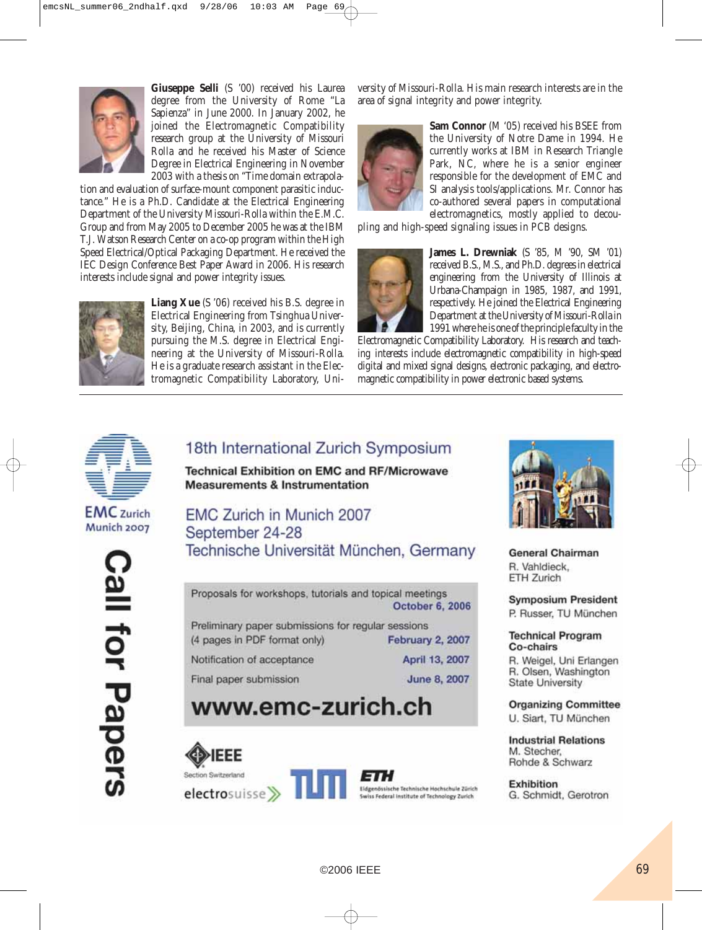

**Giuseppe Selli** (S '00) received his Laurea degree from the University of Rome "La Sapienza" in June 2000. In January 2002, he joined the Electromagnetic Compatibility research group at the University of Missouri Rolla and he received his Master of Science Degree in Electrical Engineering in November 2003 with a thesis on "Time domain extrapola-

tion and evaluation of surface-mount component parasitic inductance." He is a Ph.D. Candidate at the Electrical Engineering Department of the University Missouri-Rolla within the E.M.C. Group and from May 2005 to December 2005 he was at the IBM T.J. Watson Research Center on a co-op program within the High Speed Electrical/Optical Packaging Department. He received the IEC Design Conference Best Paper Award in 2006. His research interests include signal and power integrity issues.



**Liang Xue** (S '06) received his B.S. degree in Electrical Engineering from Tsinghua University, Beijing, China, in 2003, and is currently pursuing the M.S. degree in Electrical Engineering at the University of Missouri-Rolla. He is a graduate research assistant in the Electromagnetic Compatibility Laboratory, University of Missouri-Rolla. His main research interests are in the area of signal integrity and power integrity.



**Sam Connor** (M '05) received his BSEE from the University of Notre Dame in 1994. He currently works at IBM in Research Triangle Park, NC, where he is a senior engineer responsible for the development of EMC and SI analysis tools/applications. Mr. Connor has co-authored several papers in computational electromagnetics, mostly applied to decou-

pling and high-speed signaling issues in PCB designs.



**James L. Drewniak** (S '85, M '90, SM '01) received B.S., M.S., and Ph.D. degrees in electrical engineering from the University of Illinois at Urbana-Champaign in 1985, 1987, and 1991, respectively. He joined the Electrical Engineering Department at the University of Missouri-Rolla in 1991 where he is one of the principle faculty in the

Electromagnetic Compatibility Laboratory. His research and teaching interests include electromagnetic compatibility in high-speed digital and mixed signal designs, electronic packaging, and electromagnetic compatibility in power electronic based systems.



### **EMC** zurich Munich 2007

lla⊖ for Papers

### 18th International Zurich Symposium

**Technical Exhibition on EMC and RF/Microwave Measurements & Instrumentation** 

**EMC Zurich in Munich 2007** September 24-28 Technische Universität München, Germany

Proposals for workshops, tutorials and topical meetings October 6, 2006

Preliminary paper submissions for regular sessions (4 pages in PDF format only) February 2, 2007

Notification of acceptance

Final paper submission

April 13, 2007 June 8, 2007

### www.emc-zurich.ch









**General Chairman** R. Vahldieck. **ETH Zurich** 

**Symposium President** P. Russer, TU München

**Technical Program** Co-chairs

R. Weigel, Uni Erlangen R. Olsen, Washington **State University** 

**Organizing Committee** U. Siart, TU München

**Industrial Relations** M. Stecher. Rohde & Schwarz

**Exhibition** G. Schmidt, Gerotron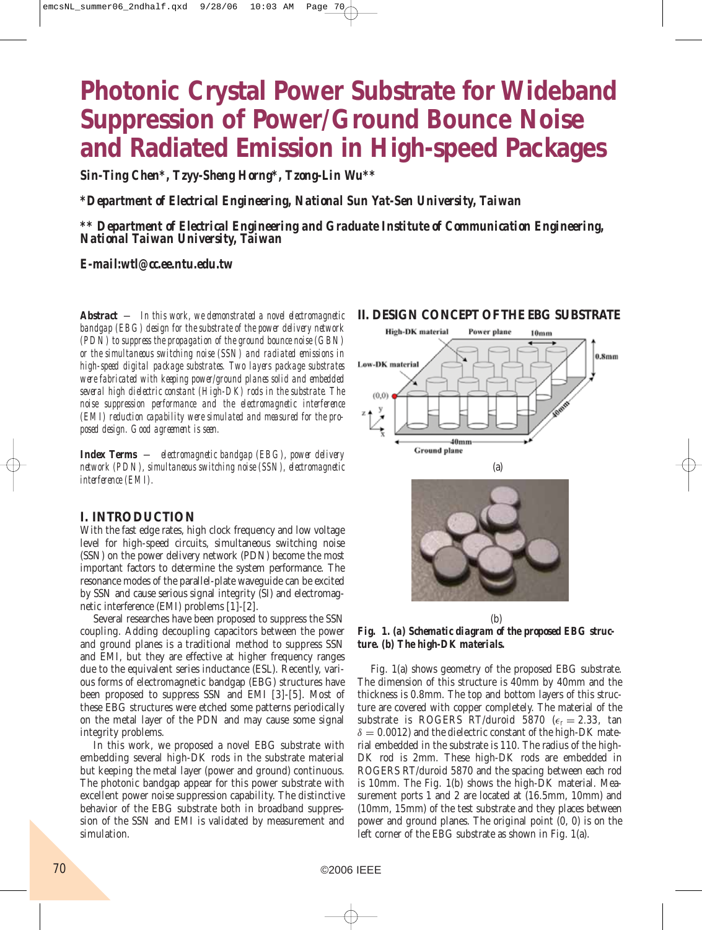## **Photonic Crystal Power Substrate for Wideband Suppression of Power/Ground Bounce Noise and Radiated Emission in High-speed Packages**

*Sin-Ting Chen\*, Tzyy-Sheng Horng\*, Tzong-Lin Wu\*\**

*\*Department of Electrical Engineering, National Sun Yat-Sen University, Taiwan*

*\*\* Department of Electrical Engineering and Graduate Institute of Communication Engineering, National Taiwan University, Taiwan*

### *E-mail:wtl@cc.ee.ntu.edu.tw*

*Abstract — In this work, we demonstrated a novel electromagnetic bandgap (EBG) design for the substrate of the power delivery network (PDN) to suppress the propagation of the ground bounce noise (GBN) or the simultaneous switching noise (SSN) and radiated emissions in high-speed digital package substrates. Two layers package substrates were fabricated with keeping power/ground planes solid and embedded several high dielectric constant (High-DK) rods in the substrate. The noise suppression performance and the electromagnetic interference (EMI) reduction capability were simulated and measured for the proposed design. Good agreement is seen.*

*Index Terms — electromagnetic bandgap (EBG), power delivery network (PDN), simultaneous switching noise (SSN), electromagnetic interference (EMI).*

### **I. INTRODUCTION**

With the fast edge rates, high clock frequency and low voltage level for high-speed circuits, simultaneous switching noise (SSN) on the power delivery network (PDN) become the most important factors to determine the system performance. The resonance modes of the parallel-plate waveguide can be excited by SSN and cause serious signal integrity (SI) and electromagnetic interference (EMI) problems [1]-[2].

Several researches have been proposed to suppress the SSN coupling. Adding decoupling capacitors between the power and ground planes is a traditional method to suppress SSN and EMI, but they are effective at higher frequency ranges due to the equivalent series inductance (ESL). Recently, various forms of electromagnetic bandgap (EBG) structures have been proposed to suppress SSN and EMI [3]-[5]. Most of these EBG structures were etched some patterns periodically on the metal layer of the PDN and may cause some signal integrity problems.

In this work, we proposed a novel EBG substrate with embedding several high-DK rods in the substrate material but keeping the metal layer (power and ground) continuous. The photonic bandgap appear for this power substrate with excellent power noise suppression capability. The distinctive behavior of the EBG substrate both in broadband suppression of the SSN and EMI is validated by measurement and simulation.

#### **II. DESIGN CONCEPT OF THE EBG SUBSTRATE**



(b) *Fig. 1. (a) Schematic diagram of the proposed EBG structure. (b) The high-DK materials.*

Fig. 1(a) shows geometry of the proposed EBG substrate. The dimension of this structure is 40mm by 40mm and the thickness is 0.8mm. The top and bottom layers of this structure are covered with copper completely. The material of the substrate is ROGERS RT/duroid 5870 ( $\epsilon_r = 2.33$ , tan  $\delta = 0.0012$ ) and the dielectric constant of the high-DK material embedded in the substrate is 110. The radius of the high-DK rod is 2mm. These high-DK rods are embedded in ROGERS RT/duroid 5870 and the spacing between each rod is 10mm. The Fig. 1(b) shows the high-DK material. Measurement ports 1 and 2 are located at (16.5mm, 10mm) and (10mm, 15mm) of the test substrate and they places between power and ground planes. The original point (0, 0) is on the left corner of the EBG substrate as shown in Fig. 1(a).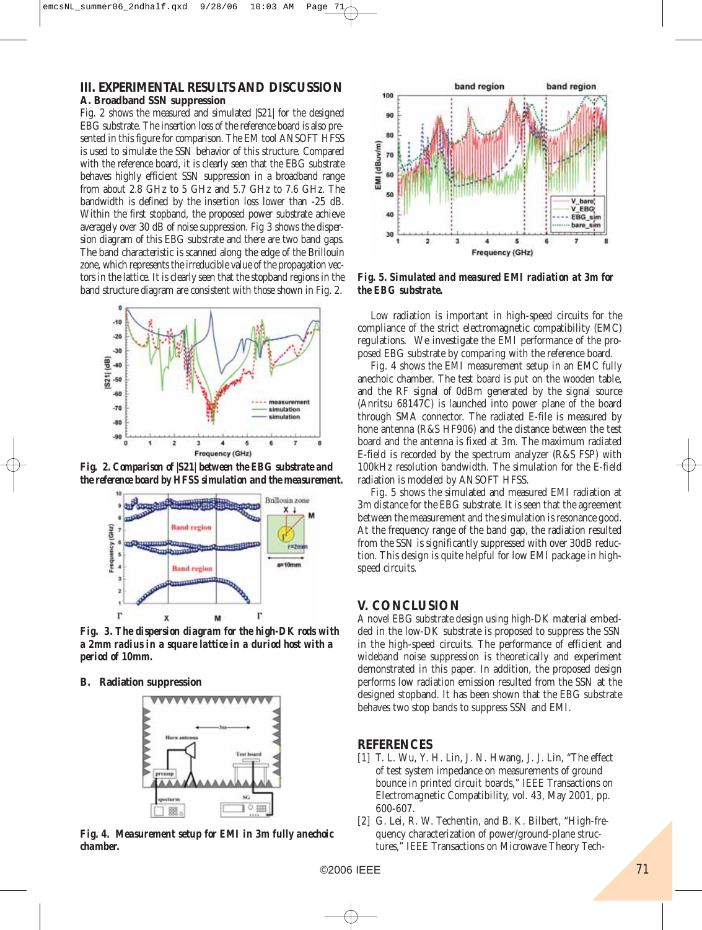### **III. EXPERIMENTAL RESULTS AND DISCUSSION**

#### **A. Broadband SSN suppression**

Fig. 2 shows the measured and simulated |S21| for the designed EBG substrate. The insertion loss of the reference board is also presented in this figure for comparison. The EM tool ANSOFT HFSS is used to simulate the SSN behavior of this structure. Compared with the reference board, it is clearly seen that the EBG substrate behaves highly efficient SSN suppression in a broadband range from about 2.8 GHz to 5 GHz and 5.7 GHz to 7.6 GHz. The bandwidth is defined by the insertion loss lower than -25 dB. Within the first stopband, the proposed power substrate achieve averagely over 30 dB of noise suppression. Fig 3 shows the dispersion diagram of this EBG substrate and there are two band gaps. The band characteristic is scanned along the edge of the Brillouin zone, which represents the irreducible value of the propagation vectors in the lattice. It is clearly seen that the stopband regions in the band structure diagram are consistent with those shown in Fig. 2.



*Fig. 2. Comparison of |S21| between the EBG substrate and the reference board by HFSS simulation and the measurement.*



*Fig. 3. The dispersion diagram for the high-DK rods with a 2mm radius in a square lattice in a duriod host with a period of 10mm.*

**B. Radiation suppression**



*Fig. 4. Measurement setup for EMI in 3m fully anechoic chamber.*



*Fig. 5. Simulated and measured EMI radiation at 3m for the EBG substrate.*

Low radiation is important in high-speed circuits for the compliance of the strict electromagnetic compatibility (EMC) regulations. We investigate the EMI performance of the proposed EBG substrate by comparing with the reference board.

Fig. 4 shows the EMI measurement setup in an EMC fully anechoic chamber. The test board is put on the wooden table, and the RF signal of 0dBm generated by the signal source (Anritsu 68147C) is launched into power plane of the board through SMA connector. The radiated E-file is measured by hone antenna (R&S HF906) and the distance between the test board and the antenna is fixed at 3m. The maximum radiated E-field is recorded by the spectrum analyzer (R&S FSP) with 100kHz resolution bandwidth. The simulation for the E-field radiation is modeled by ANSOFT HFSS.

Fig. 5 shows the simulated and measured EMI radiation at 3m distance for the EBG substrate. It is seen that the agreement between the measurement and the simulation is resonance good. At the frequency range of the band gap, the radiation resulted from the SSN is significantly suppressed with over 30dB reduction. This design is quite helpful for low EMI package in highspeed circuits.

### **V. CONCLUSION**

A novel EBG substrate design using high-DK material embedded in the low-DK substrate is proposed to suppress the SSN in the high-speed circuits. The performance of efficient and wideband noise suppression is theoretically and experiment demonstrated in this paper. In addition, the proposed design performs low radiation emission resulted from the SSN at the designed stopband. It has been shown that the EBG substrate behaves two stop bands to suppress SSN and EMI.

### **REFERENCES**

- [1] T. L. Wu, Y. H. Lin, J. N. Hwang, J. J. Lin, "The effect of test system impedance on measurements of ground bounce in printed circuit boards," IEEE Transactions on Electromagnetic Compatibility, vol. 43, May 2001, pp. 600-607.
- [2] G. Lei, R. W. Techentin, and B. K. Bilbert, "High-frequency characterization of power/ground-plane structures," IEEE Transactions on Microwave Theory Tech-